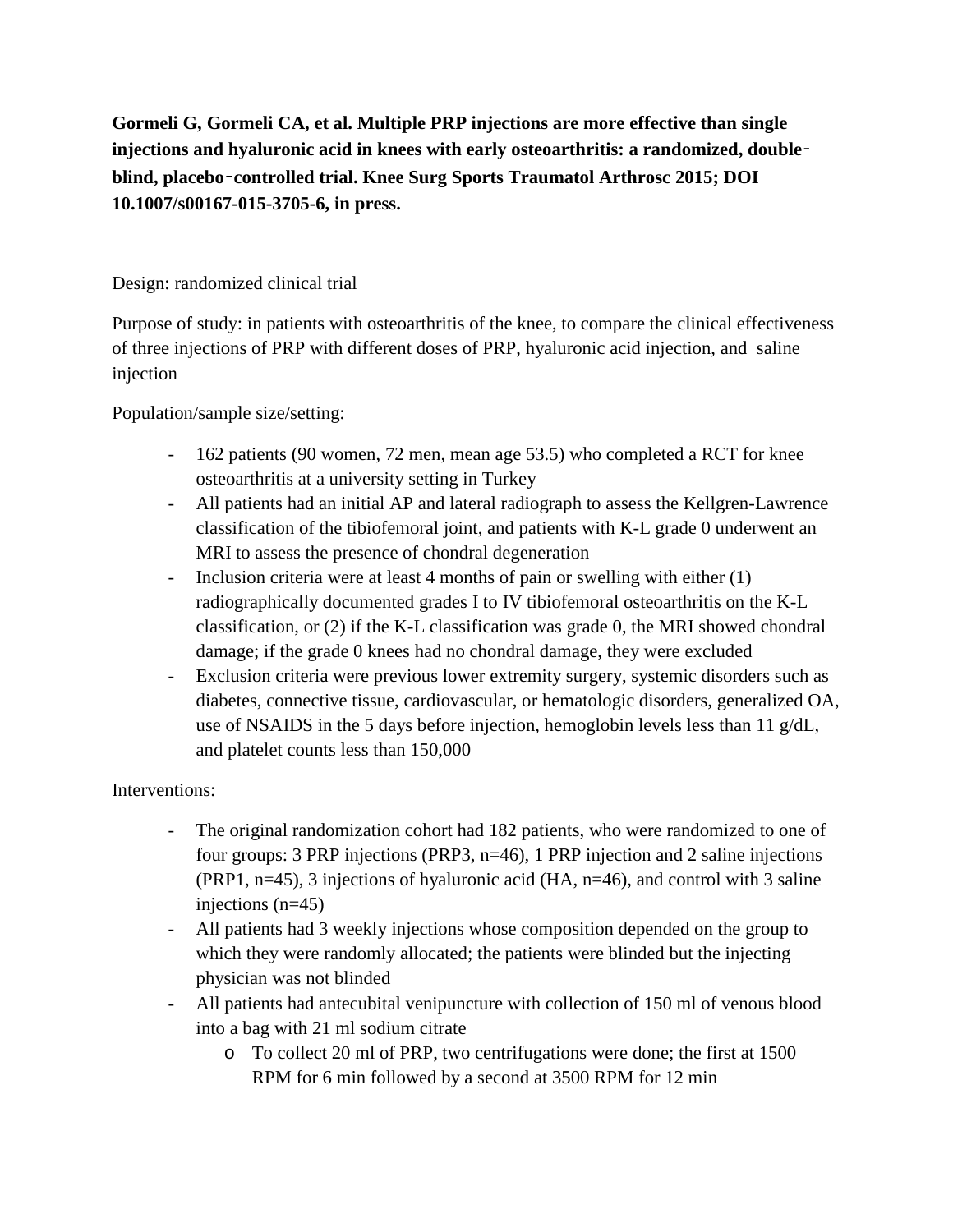**Gormeli G, Gormeli CA, et al. Multiple PRP injections are more effective than single injections and hyaluronic acid in knees with early osteoarthritis: a randomized, double**‑ **blind, placebo**‑**controlled trial. Knee Surg Sports Traumatol Arthrosc 2015; DOI 10.1007/s00167-015-3705-6, in press.**

## Design: randomized clinical trial

Purpose of study: in patients with osteoarthritis of the knee, to compare the clinical effectiveness of three injections of PRP with different doses of PRP, hyaluronic acid injection, and saline injection

Population/sample size/setting:

- 162 patients (90 women, 72 men, mean age 53.5) who completed a RCT for knee osteoarthritis at a university setting in Turkey
- All patients had an initial AP and lateral radiograph to assess the Kellgren-Lawrence classification of the tibiofemoral joint, and patients with K-L grade 0 underwent an MRI to assess the presence of chondral degeneration
- Inclusion criteria were at least 4 months of pain or swelling with either (1) radiographically documented grades I to IV tibiofemoral osteoarthritis on the K-L classification, or (2) if the K-L classification was grade 0, the MRI showed chondral damage; if the grade 0 knees had no chondral damage, they were excluded
- Exclusion criteria were previous lower extremity surgery, systemic disorders such as diabetes, connective tissue, cardiovascular, or hematologic disorders, generalized OA, use of NSAIDS in the 5 days before injection, hemoglobin levels less than 11 g/dL, and platelet counts less than 150,000

## Interventions:

- The original randomization cohort had 182 patients, who were randomized to one of four groups: 3 PRP injections (PRP3, n=46), 1 PRP injection and 2 saline injections (PRP1, n=45), 3 injections of hyaluronic acid (HA, n=46), and control with 3 saline injections (n=45)
- All patients had 3 weekly injections whose composition depended on the group to which they were randomly allocated; the patients were blinded but the injecting physician was not blinded
- All patients had antecubital venipuncture with collection of 150 ml of venous blood into a bag with 21 ml sodium citrate
	- o To collect 20 ml of PRP, two centrifugations were done; the first at 1500 RPM for 6 min followed by a second at 3500 RPM for 12 min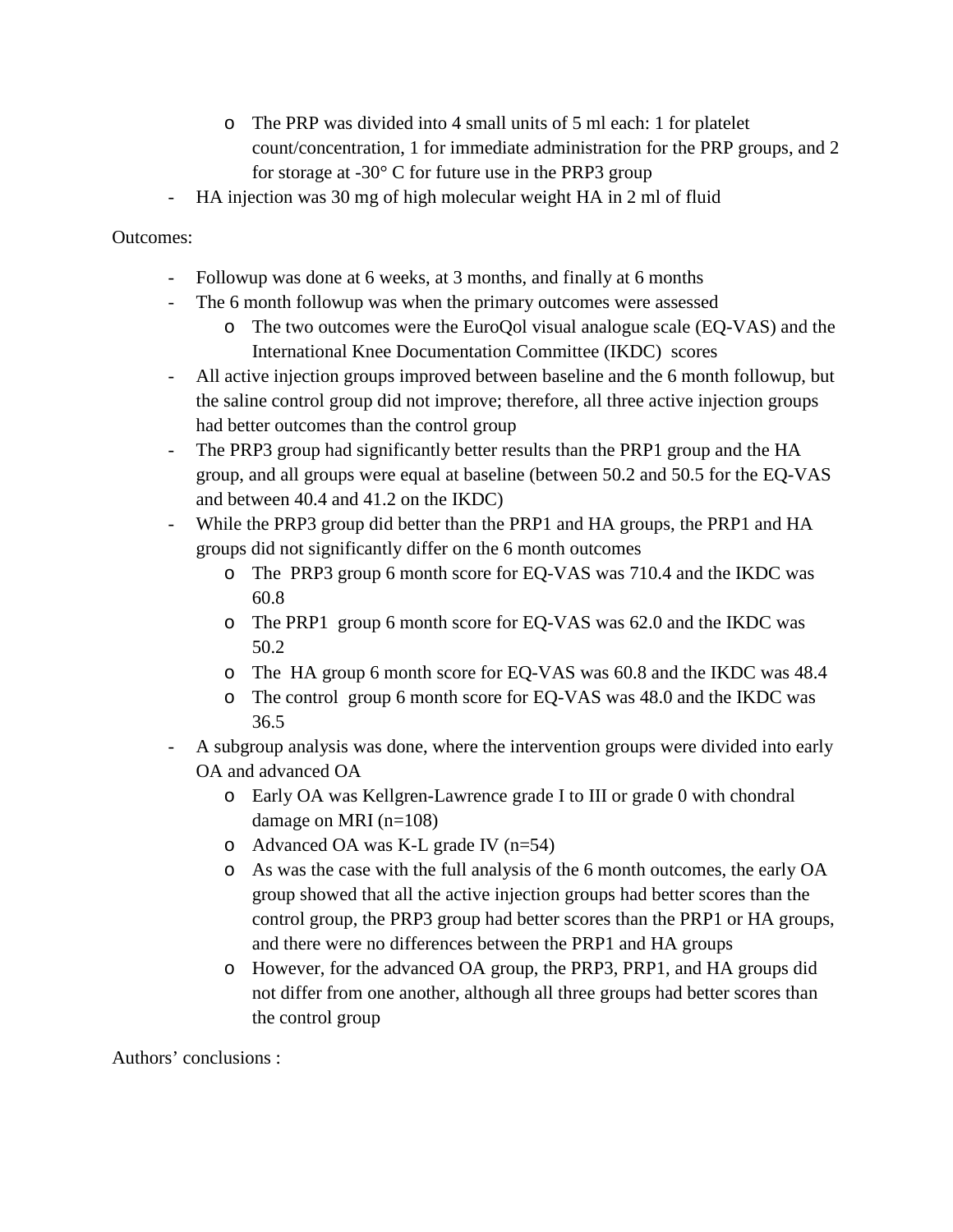- o The PRP was divided into 4 small units of 5 ml each: 1 for platelet count/concentration, 1 for immediate administration for the PRP groups, and 2 for storage at  $-30^{\circ}$  C for future use in the PRP3 group
- HA injection was 30 mg of high molecular weight HA in 2 ml of fluid

## Outcomes:

- Followup was done at 6 weeks, at 3 months, and finally at 6 months
- The 6 month followup was when the primary outcomes were assessed
	- o The two outcomes were the EuroQol visual analogue scale (EQ-VAS) and the International Knee Documentation Committee (IKDC) scores
- All active injection groups improved between baseline and the 6 month followup, but the saline control group did not improve; therefore, all three active injection groups had better outcomes than the control group
- The PRP3 group had significantly better results than the PRP1 group and the HA group, and all groups were equal at baseline (between 50.2 and 50.5 for the EQ-VAS and between 40.4 and 41.2 on the IKDC)
- While the PRP3 group did better than the PRP1 and HA groups, the PRP1 and HA groups did not significantly differ on the 6 month outcomes
	- o The PRP3 group 6 month score for EQ-VAS was 710.4 and the IKDC was 60.8
	- o The PRP1 group 6 month score for EQ-VAS was 62.0 and the IKDC was 50.2
	- o The HA group 6 month score for EQ-VAS was 60.8 and the IKDC was 48.4
	- o The control group 6 month score for EQ-VAS was 48.0 and the IKDC was 36.5
- A subgroup analysis was done, where the intervention groups were divided into early OA and advanced OA
	- o Early OA was Kellgren-Lawrence grade I to III or grade 0 with chondral damage on MRI (n=108)
	- o Advanced OA was K-L grade IV (n=54)
	- o As was the case with the full analysis of the 6 month outcomes, the early OA group showed that all the active injection groups had better scores than the control group, the PRP3 group had better scores than the PRP1 or HA groups, and there were no differences between the PRP1 and HA groups
	- o However, for the advanced OA group, the PRP3, PRP1, and HA groups did not differ from one another, although all three groups had better scores than the control group

Authors' conclusions :